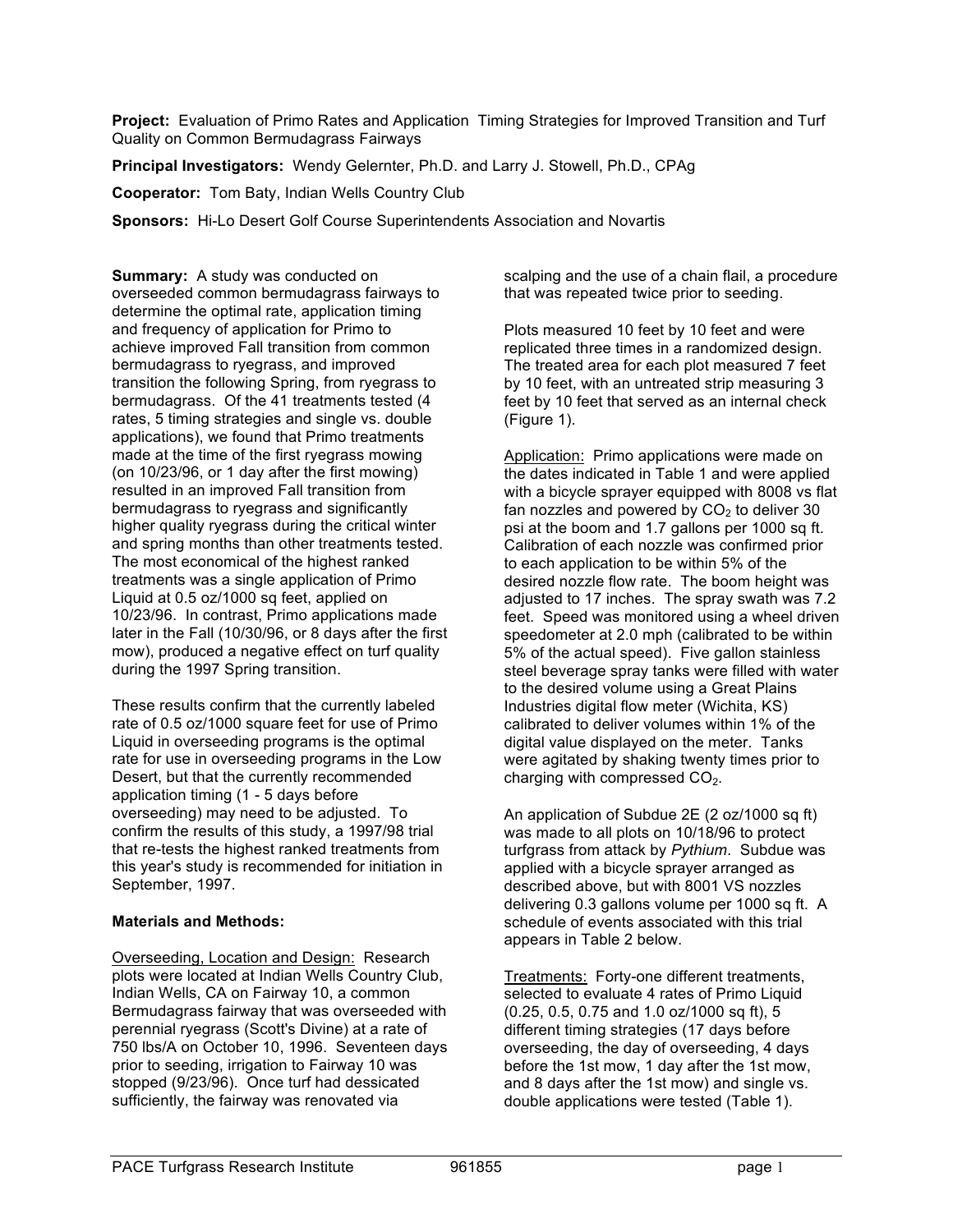**Project:** Evaluation of Primo Rates and Application Timing Strategies for Improved Transition and Turf Quality on Common Bermudagrass Fairways

**Principal Investigators:** Wendy Gelernter, Ph.D. and Larry J. Stowell, Ph.D., CPAg

**Cooperator:** Tom Baty, Indian Wells Country Club

**Sponsors:** Hi-Lo Desert Golf Course Superintendents Association and Novartis

**Summary:** A study was conducted on overseeded common bermudagrass fairways to determine the optimal rate, application timing and frequency of application for Primo to achieve improved Fall transition from common bermudagrass to ryegrass, and improved transition the following Spring, from ryegrass to bermudagrass. Of the 41 treatments tested (4 rates, 5 timing strategies and single vs. double applications), we found that Primo treatments made at the time of the first ryegrass mowing (on 10/23/96, or 1 day after the first mowing) resulted in an improved Fall transition from bermudagrass to ryegrass and significantly higher quality ryegrass during the critical winter and spring months than other treatments tested. The most economical of the highest ranked treatments was a single application of Primo Liquid at 0.5 oz/1000 sq feet, applied on 10/23/96. In contrast, Primo applications made later in the Fall (10/30/96, or 8 days after the first mow), produced a negative effect on turf quality during the 1997 Spring transition.

These results confirm that the currently labeled rate of 0.5 oz/1000 square feet for use of Primo Liquid in overseeding programs is the optimal rate for use in overseeding programs in the Low Desert, but that the currently recommended application timing (1 - 5 days before overseeding) may need to be adjusted. To confirm the results of this study, a 1997/98 trial that re-tests the highest ranked treatments from this year's study is recommended for initiation in September, 1997.

#### **Materials and Methods:**

Overseeding, Location and Design: Research plots were located at Indian Wells Country Club, Indian Wells, CA on Fairway 10, a common Bermudagrass fairway that was overseeded with perennial ryegrass (Scott's Divine) at a rate of 750 lbs/A on October 10, 1996. Seventeen days prior to seeding, irrigation to Fairway 10 was stopped (9/23/96). Once turf had dessicated sufficiently, the fairway was renovated via

scalping and the use of a chain flail, a procedure that was repeated twice prior to seeding.

Plots measured 10 feet by 10 feet and were replicated three times in a randomized design. The treated area for each plot measured 7 feet by 10 feet, with an untreated strip measuring 3 feet by 10 feet that served as an internal check (Figure 1).

Application: Primo applications were made on the dates indicated in Table 1 and were applied with a bicycle sprayer equipped with 8008 vs flat fan nozzles and powered by  $CO<sub>2</sub>$  to deliver 30 psi at the boom and 1.7 gallons per 1000 sq ft. Calibration of each nozzle was confirmed prior to each application to be within 5% of the desired nozzle flow rate. The boom height was adjusted to 17 inches. The spray swath was 7.2 feet. Speed was monitored using a wheel driven speedometer at 2.0 mph (calibrated to be within 5% of the actual speed). Five gallon stainless steel beverage spray tanks were filled with water to the desired volume using a Great Plains Industries digital flow meter (Wichita, KS) calibrated to deliver volumes within 1% of the digital value displayed on the meter. Tanks were agitated by shaking twenty times prior to charging with compressed  $CO<sub>2</sub>$ .

An application of Subdue 2E (2 oz/1000 sq ft) was made to all plots on 10/18/96 to protect turfgrass from attack by *Pythium*. Subdue was applied with a bicycle sprayer arranged as described above, but with 8001 VS nozzles delivering 0.3 gallons volume per 1000 sq ft. A schedule of events associated with this trial appears in Table 2 below.

Treatments: Forty-one different treatments, selected to evaluate 4 rates of Primo Liquid (0.25, 0.5, 0.75 and 1.0 oz/1000 sq ft), 5 different timing strategies (17 days before overseeding, the day of overseeding, 4 days before the 1st mow, 1 day after the 1st mow, and 8 days after the 1st mow) and single vs. double applications were tested (Table 1).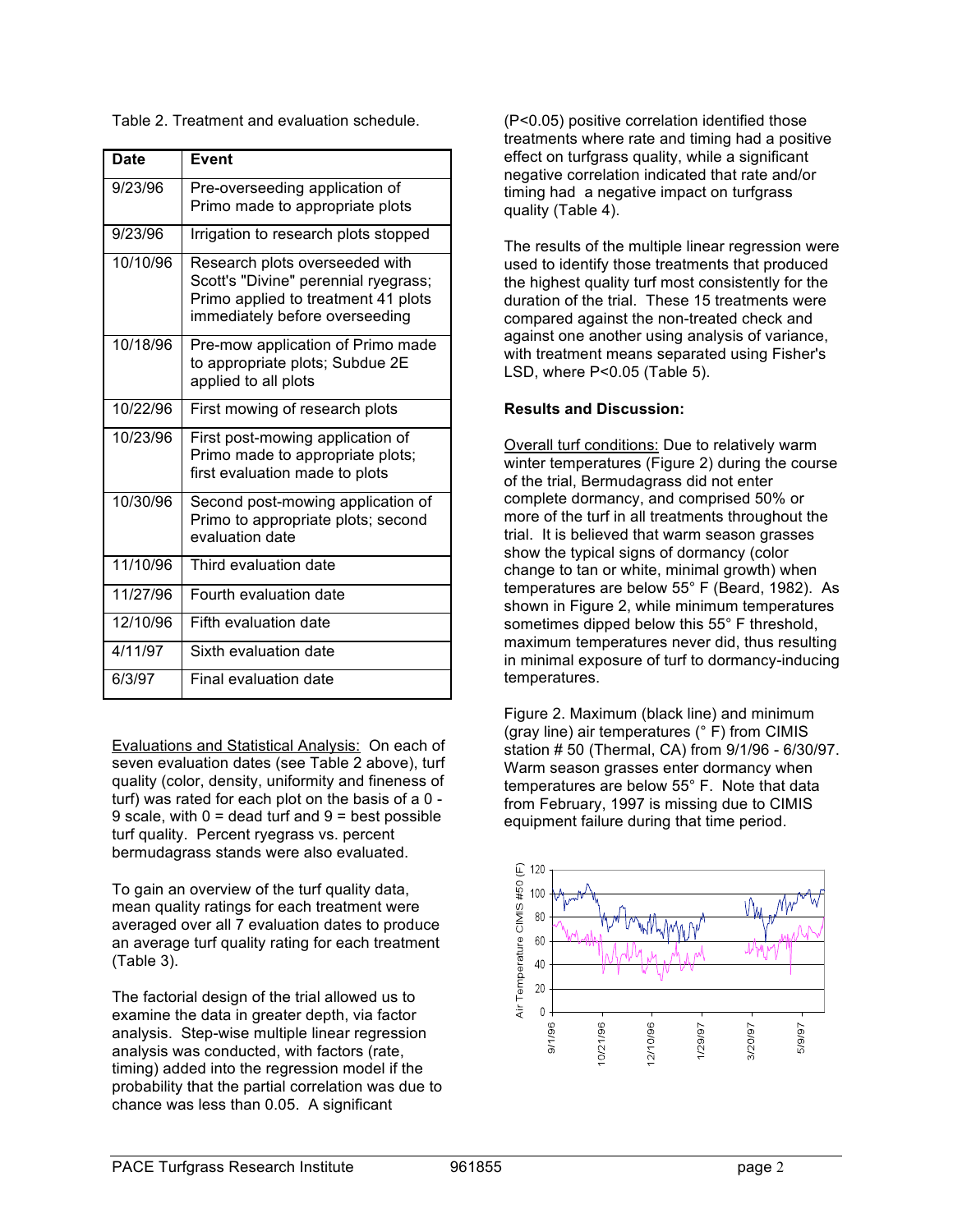Table 2. Treatment and evaluation schedule.

| <b>Date</b> | <b>Event</b>                                                                                                                                    |
|-------------|-------------------------------------------------------------------------------------------------------------------------------------------------|
| 9/23/96     | Pre-overseeding application of<br>Primo made to appropriate plots                                                                               |
| 9/23/96     | Irrigation to research plots stopped                                                                                                            |
| 10/10/96    | Research plots overseeded with<br>Scott's "Divine" perennial ryegrass;<br>Primo applied to treatment 41 plots<br>immediately before overseeding |
| 10/18/96    | Pre-mow application of Primo made<br>to appropriate plots; Subdue 2E<br>applied to all plots                                                    |
| 10/22/96    | First mowing of research plots                                                                                                                  |
| 10/23/96    | First post-mowing application of<br>Primo made to appropriate plots;<br>first evaluation made to plots                                          |
| 10/30/96    | Second post-mowing application of<br>Primo to appropriate plots; second<br>evaluation date                                                      |
| 11/10/96    | Third evaluation date                                                                                                                           |
| 11/27/96    | Fourth evaluation date                                                                                                                          |
| 12/10/96    | Fifth evaluation date                                                                                                                           |
| 4/11/97     | Sixth evaluation date                                                                                                                           |
| 6/3/97      | Final evaluation date                                                                                                                           |

Evaluations and Statistical Analysis: On each of seven evaluation dates (see Table 2 above), turf quality (color, density, uniformity and fineness of turf) was rated for each plot on the basis of a 0 - 9 scale, with  $0 =$  dead turf and  $9 =$  best possible turf quality. Percent ryegrass vs. percent bermudagrass stands were also evaluated.

To gain an overview of the turf quality data, mean quality ratings for each treatment were averaged over all 7 evaluation dates to produce an average turf quality rating for each treatment (Table 3).

The factorial design of the trial allowed us to examine the data in greater depth, via factor analysis. Step-wise multiple linear regression analysis was conducted, with factors (rate, timing) added into the regression model if the probability that the partial correlation was due to chance was less than 0.05. A significant

(P<0.05) positive correlation identified those treatments where rate and timing had a positive effect on turfgrass quality, while a significant negative correlation indicated that rate and/or timing had a negative impact on turfgrass quality (Table 4).

The results of the multiple linear regression were used to identify those treatments that produced the highest quality turf most consistently for the duration of the trial. These 15 treatments were compared against the non-treated check and against one another using analysis of variance, with treatment means separated using Fisher's LSD, where P<0.05 (Table 5).

### **Results and Discussion:**

Overall turf conditions: Due to relatively warm winter temperatures (Figure 2) during the course of the trial, Bermudagrass did not enter complete dormancy, and comprised 50% or more of the turf in all treatments throughout the trial. It is believed that warm season grasses show the typical signs of dormancy (color change to tan or white, minimal growth) when temperatures are below 55° F (Beard, 1982). As shown in Figure 2, while minimum temperatures sometimes dipped below this 55° F threshold, maximum temperatures never did, thus resulting in minimal exposure of turf to dormancy-inducing temperatures.

Figure 2. Maximum (black line) and minimum (gray line) air temperatures (° F) from CIMIS station # 50 (Thermal, CA) from 9/1/96 - 6/30/97. Warm season grasses enter dormancy when temperatures are below 55° F. Note that data from February, 1997 is missing due to CIMIS equipment failure during that time period.

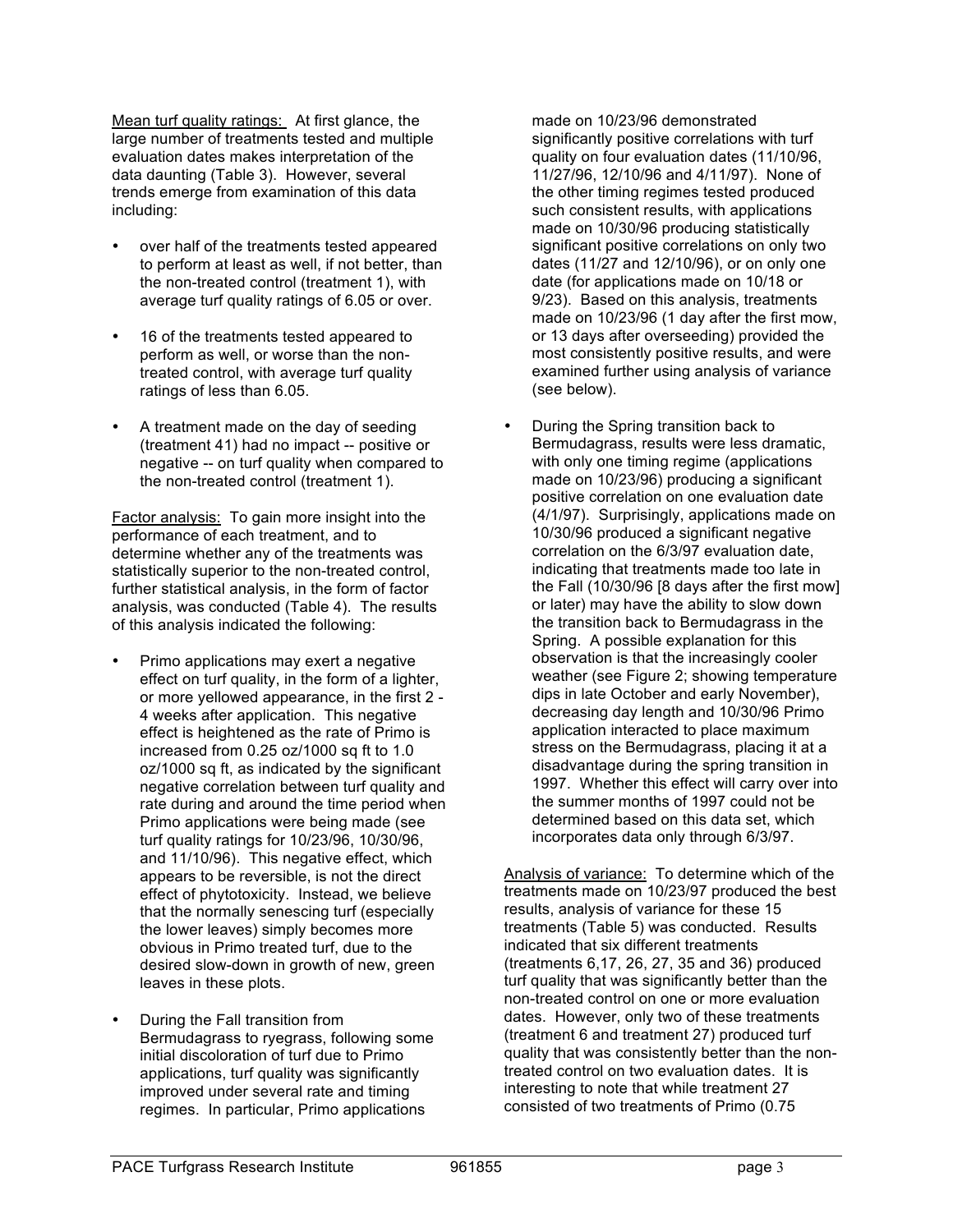Mean turf quality ratings: At first glance, the large number of treatments tested and multiple evaluation dates makes interpretation of the data daunting (Table 3). However, several trends emerge from examination of this data including:

- over half of the treatments tested appeared to perform at least as well, if not better, than the non-treated control (treatment 1), with average turf quality ratings of 6.05 or over.
- 16 of the treatments tested appeared to perform as well, or worse than the nontreated control, with average turf quality ratings of less than 6.05.
- A treatment made on the day of seeding (treatment 41) had no impact -- positive or negative -- on turf quality when compared to the non-treated control (treatment 1).

Factor analysis: To gain more insight into the performance of each treatment, and to determine whether any of the treatments was statistically superior to the non-treated control, further statistical analysis, in the form of factor analysis, was conducted (Table 4). The results of this analysis indicated the following:

- Primo applications may exert a negative effect on turf quality, in the form of a lighter, or more yellowed appearance, in the first 2 - 4 weeks after application. This negative effect is heightened as the rate of Primo is increased from 0.25 oz/1000 sq ft to 1.0 oz/1000 sq ft, as indicated by the significant negative correlation between turf quality and rate during and around the time period when Primo applications were being made (see turf quality ratings for 10/23/96, 10/30/96, and 11/10/96). This negative effect, which appears to be reversible, is not the direct effect of phytotoxicity. Instead, we believe that the normally senescing turf (especially the lower leaves) simply becomes more obvious in Primo treated turf, due to the desired slow-down in growth of new, green leaves in these plots.
- During the Fall transition from Bermudagrass to ryegrass, following some initial discoloration of turf due to Primo applications, turf quality was significantly improved under several rate and timing regimes. In particular, Primo applications

made on 10/23/96 demonstrated significantly positive correlations with turf quality on four evaluation dates (11/10/96, 11/27/96, 12/10/96 and 4/11/97). None of the other timing regimes tested produced such consistent results, with applications made on 10/30/96 producing statistically significant positive correlations on only two dates (11/27 and 12/10/96), or on only one date (for applications made on 10/18 or 9/23). Based on this analysis, treatments made on 10/23/96 (1 day after the first mow, or 13 days after overseeding) provided the most consistently positive results, and were examined further using analysis of variance (see below).

• During the Spring transition back to Bermudagrass, results were less dramatic, with only one timing regime (applications made on 10/23/96) producing a significant positive correlation on one evaluation date (4/1/97). Surprisingly, applications made on 10/30/96 produced a significant negative correlation on the 6/3/97 evaluation date, indicating that treatments made too late in the Fall (10/30/96 [8 days after the first mow] or later) may have the ability to slow down the transition back to Bermudagrass in the Spring. A possible explanation for this observation is that the increasingly cooler weather (see Figure 2; showing temperature dips in late October and early November), decreasing day length and 10/30/96 Primo application interacted to place maximum stress on the Bermudagrass, placing it at a disadvantage during the spring transition in 1997. Whether this effect will carry over into the summer months of 1997 could not be determined based on this data set, which incorporates data only through 6/3/97.

Analysis of variance: To determine which of the treatments made on 10/23/97 produced the best results, analysis of variance for these 15 treatments (Table 5) was conducted. Results indicated that six different treatments (treatments 6,17, 26, 27, 35 and 36) produced turf quality that was significantly better than the non-treated control on one or more evaluation dates. However, only two of these treatments (treatment 6 and treatment 27) produced turf quality that was consistently better than the nontreated control on two evaluation dates. It is interesting to note that while treatment 27 consisted of two treatments of Primo (0.75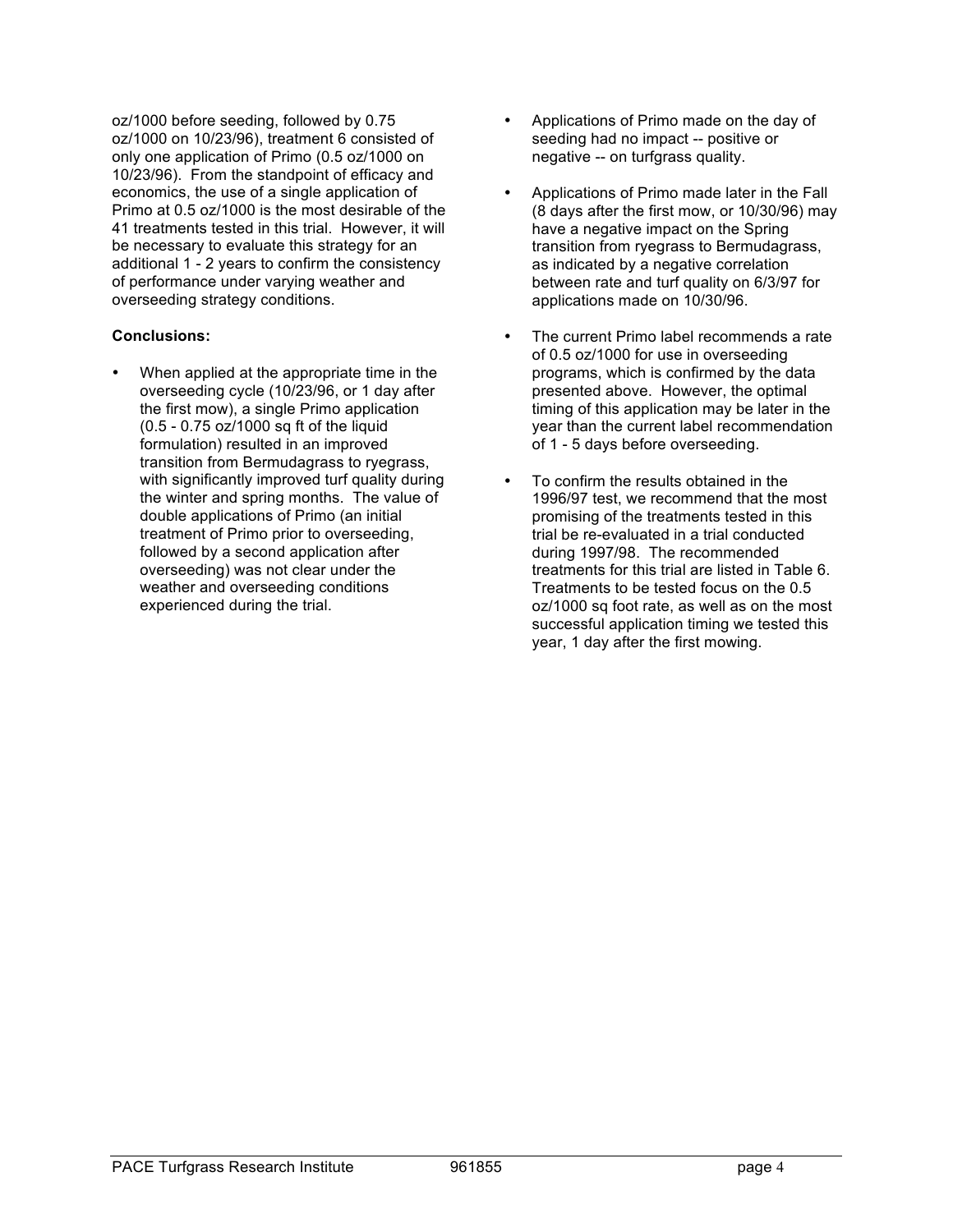oz/1000 before seeding, followed by 0.75 oz/1000 on 10/23/96), treatment 6 consisted of only one application of Primo (0.5 oz/1000 on 10/23/96). From the standpoint of efficacy and economics, the use of a single application of Primo at 0.5 oz/1000 is the most desirable of the 41 treatments tested in this trial. However, it will be necessary to evaluate this strategy for an additional 1 - 2 years to confirm the consistency of performance under varying weather and overseeding strategy conditions.

### **Conclusions:**

• When applied at the appropriate time in the overseeding cycle (10/23/96, or 1 day after the first mow), a single Primo application (0.5 - 0.75 oz/1000 sq ft of the liquid formulation) resulted in an improved transition from Bermudagrass to ryegrass, with significantly improved turf quality during the winter and spring months. The value of double applications of Primo (an initial treatment of Primo prior to overseeding, followed by a second application after overseeding) was not clear under the weather and overseeding conditions experienced during the trial.

- Applications of Primo made on the day of seeding had no impact -- positive or negative -- on turfgrass quality.
- Applications of Primo made later in the Fall (8 days after the first mow, or 10/30/96) may have a negative impact on the Spring transition from ryegrass to Bermudagrass, as indicated by a negative correlation between rate and turf quality on 6/3/97 for applications made on 10/30/96.
- The current Primo label recommends a rate of 0.5 oz/1000 for use in overseeding programs, which is confirmed by the data presented above. However, the optimal timing of this application may be later in the year than the current label recommendation of 1 - 5 days before overseeding.
- To confirm the results obtained in the 1996/97 test, we recommend that the most promising of the treatments tested in this trial be re-evaluated in a trial conducted during 1997/98. The recommended treatments for this trial are listed in Table 6. Treatments to be tested focus on the 0.5 oz/1000 sq foot rate, as well as on the most successful application timing we tested this year, 1 day after the first mowing.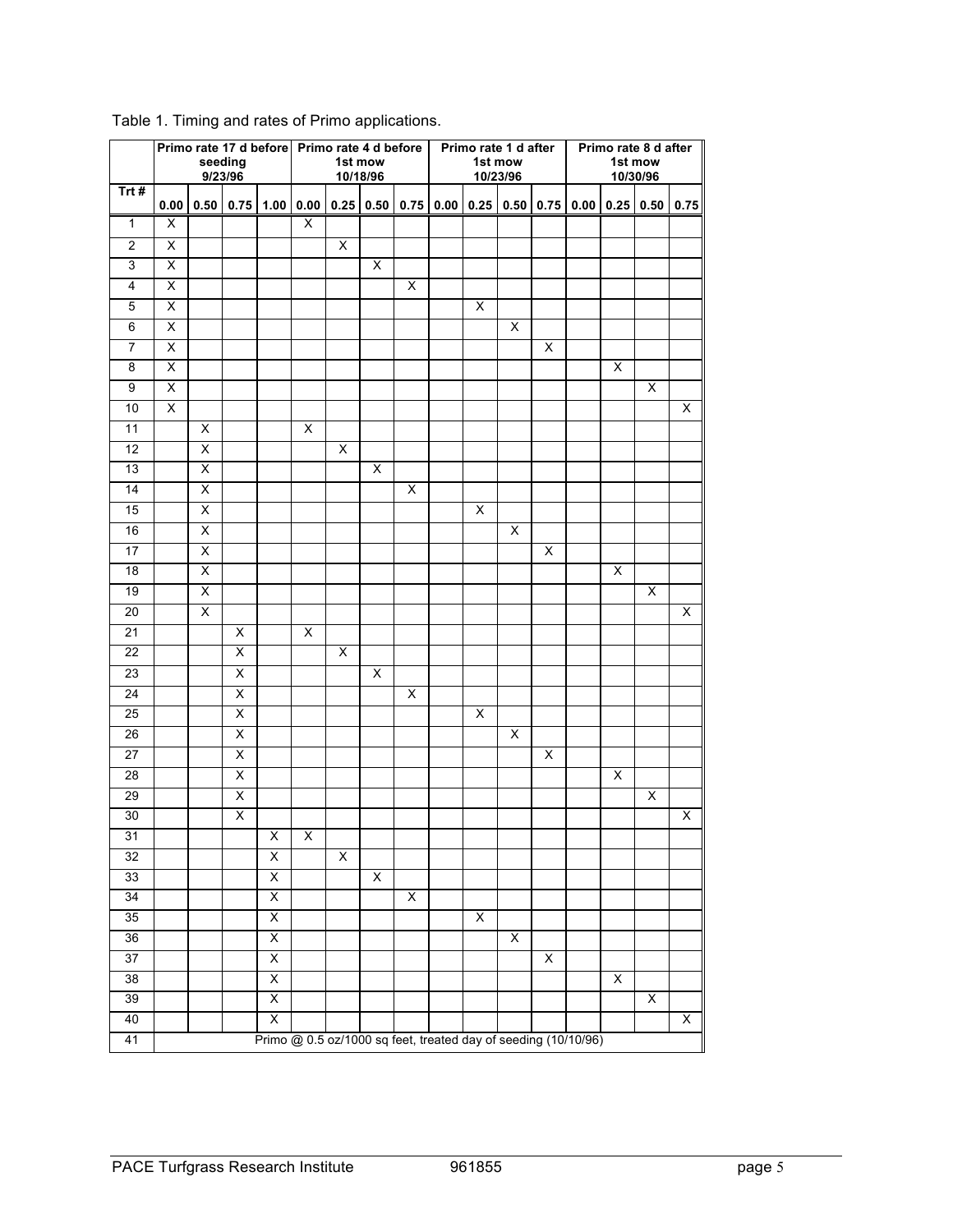|                       | seeding<br>9/23/96      |                         |                              |                         | Primo rate 17 d before Primo rate 4 d before<br>1st mow<br>10/18/96 |                         |                         |   | Primo rate 1 d after<br>1st mow<br>10/23/96 |                                                                |   |                         | Primo rate 8 d after<br>1st mow<br>10/30/96 |                         |                |      |
|-----------------------|-------------------------|-------------------------|------------------------------|-------------------------|---------------------------------------------------------------------|-------------------------|-------------------------|---|---------------------------------------------|----------------------------------------------------------------|---|-------------------------|---------------------------------------------|-------------------------|----------------|------|
| Trt#                  |                         |                         | $0.00$ 0.50 0.75 1.00 0.00   |                         |                                                                     |                         | 0.25   0.50             |   |                                             | $0.75$   0.00   0.25   0.50   0.75   0.00   0.25   0.50        |   |                         |                                             |                         |                | 0.75 |
| $\mathbf{1}$          | Χ                       |                         |                              |                         | X                                                                   |                         |                         |   |                                             |                                                                |   |                         |                                             |                         |                |      |
| $\overline{2}$        | X                       |                         |                              |                         |                                                                     | X                       |                         |   |                                             |                                                                |   |                         |                                             |                         |                |      |
| $\overline{3}$        | X                       |                         |                              |                         |                                                                     |                         | $\overline{\mathsf{x}}$ |   |                                             |                                                                |   |                         |                                             |                         |                |      |
| 4                     | X                       |                         |                              |                         |                                                                     |                         |                         | X |                                             |                                                                |   |                         |                                             |                         |                |      |
| 5                     | $\overline{\mathsf{x}}$ |                         |                              |                         |                                                                     |                         |                         |   |                                             | $\pmb{\times}$                                                 |   |                         |                                             |                         |                |      |
| 6                     | X                       |                         |                              |                         |                                                                     |                         |                         |   |                                             |                                                                | X |                         |                                             |                         |                |      |
| $\overline{7}$        | X                       |                         |                              |                         |                                                                     |                         |                         |   |                                             |                                                                |   | X                       |                                             |                         |                |      |
| 8                     | $\overline{\mathsf{x}}$ |                         |                              |                         |                                                                     |                         |                         |   |                                             |                                                                |   |                         |                                             | X                       |                |      |
| $\boldsymbol{9}$      | $\overline{\mathsf{x}}$ |                         |                              |                         |                                                                     |                         |                         |   |                                             |                                                                |   |                         |                                             |                         | X              |      |
| 10                    | X                       |                         |                              |                         |                                                                     |                         |                         |   |                                             |                                                                |   |                         |                                             |                         |                | X    |
| $\overline{11}$       |                         | X                       |                              |                         | $\overline{\mathsf{x}}$                                             |                         |                         |   |                                             |                                                                |   |                         |                                             |                         |                |      |
| 12                    |                         | X                       |                              |                         |                                                                     | X                       |                         |   |                                             |                                                                |   |                         |                                             |                         |                |      |
| 13                    |                         | Χ                       |                              |                         |                                                                     |                         | X                       |   |                                             |                                                                |   |                         |                                             |                         |                |      |
| $\overline{14}$       |                         | Χ                       |                              |                         |                                                                     |                         |                         | X |                                             |                                                                |   |                         |                                             |                         |                |      |
| 15                    |                         | X                       |                              |                         |                                                                     |                         |                         |   |                                             | X                                                              |   |                         |                                             |                         |                |      |
| 16                    |                         | $\overline{\mathsf{x}}$ |                              |                         |                                                                     |                         |                         |   |                                             |                                                                | X |                         |                                             |                         |                |      |
| 17                    |                         | $\overline{\mathsf{x}}$ |                              |                         |                                                                     |                         |                         |   |                                             |                                                                |   | $\overline{\mathsf{x}}$ |                                             |                         |                |      |
| 18                    |                         | X                       |                              |                         |                                                                     |                         |                         |   |                                             |                                                                |   |                         |                                             | X                       |                |      |
| 19                    |                         | $\overline{\mathsf{x}}$ |                              |                         |                                                                     |                         |                         |   |                                             |                                                                |   |                         |                                             |                         | X              |      |
| 20                    |                         | $\overline{\mathsf{x}}$ |                              |                         |                                                                     |                         |                         |   |                                             |                                                                |   |                         |                                             |                         |                | Χ    |
| $\overline{21}$       |                         |                         | X                            |                         | X                                                                   |                         |                         |   |                                             |                                                                |   |                         |                                             |                         |                |      |
| $\overline{22}$       |                         |                         | $\overline{\mathsf{X}}$      |                         |                                                                     | $\overline{\mathsf{x}}$ |                         |   |                                             |                                                                |   |                         |                                             |                         |                |      |
| 23                    |                         |                         | X                            |                         |                                                                     |                         | X                       |   |                                             |                                                                |   |                         |                                             |                         |                |      |
| 24                    |                         |                         | $\overline{\mathsf{x}}$      |                         |                                                                     |                         |                         | X |                                             |                                                                |   |                         |                                             |                         |                |      |
| 25                    |                         |                         | X                            |                         |                                                                     |                         |                         |   |                                             | X                                                              |   |                         |                                             |                         |                |      |
| 26<br>$\overline{27}$ |                         |                         | X<br>$\overline{\mathsf{x}}$ |                         |                                                                     |                         |                         |   |                                             |                                                                | X | X                       |                                             |                         |                |      |
| $\overline{28}$       |                         |                         | $\overline{\mathsf{X}}$      |                         |                                                                     |                         |                         |   |                                             |                                                                |   |                         |                                             | $\overline{\mathsf{x}}$ |                |      |
| 29                    |                         |                         | X                            |                         |                                                                     |                         |                         |   |                                             |                                                                |   |                         |                                             |                         | X              |      |
| 30                    |                         |                         | $\overline{\mathsf{x}}$      |                         |                                                                     |                         |                         |   |                                             |                                                                |   |                         |                                             |                         |                | Χ    |
|                       |                         |                         |                              |                         | X                                                                   |                         |                         |   |                                             |                                                                |   |                         |                                             |                         |                |      |
| 31<br>32              |                         |                         |                              | X<br>X                  |                                                                     | X                       |                         |   |                                             |                                                                |   |                         |                                             |                         |                |      |
| 33                    |                         |                         |                              | $\overline{\mathsf{X}}$ |                                                                     |                         | $\overline{X}$          |   |                                             |                                                                |   |                         |                                             |                         |                |      |
| 34                    |                         |                         |                              | X                       |                                                                     |                         |                         | X |                                             |                                                                |   |                         |                                             |                         |                |      |
| 35                    |                         |                         |                              | $\overline{X}$          |                                                                     |                         |                         |   |                                             | $\overline{X}$                                                 |   |                         |                                             |                         |                |      |
| 36                    |                         |                         |                              | X                       |                                                                     |                         |                         |   |                                             |                                                                | X |                         |                                             |                         |                |      |
| $\overline{37}$       |                         |                         |                              | $\overline{X}$          |                                                                     |                         |                         |   |                                             |                                                                |   | X                       |                                             |                         |                |      |
| $\overline{38}$       |                         |                         |                              | $\overline{X}$          |                                                                     |                         |                         |   |                                             |                                                                |   |                         |                                             | X                       |                |      |
| 39                    |                         |                         |                              | $\overline{X}$          |                                                                     |                         |                         |   |                                             |                                                                |   |                         |                                             |                         | $\overline{X}$ |      |
| 40                    |                         |                         |                              | $\overline{\mathsf{x}}$ |                                                                     |                         |                         |   |                                             |                                                                |   |                         |                                             |                         |                | X    |
| 41                    |                         |                         |                              |                         |                                                                     |                         |                         |   |                                             | Primo @ 0.5 oz/1000 sq feet, treated day of seeding (10/10/96) |   |                         |                                             |                         |                |      |

## Table 1. Timing and rates of Primo applications.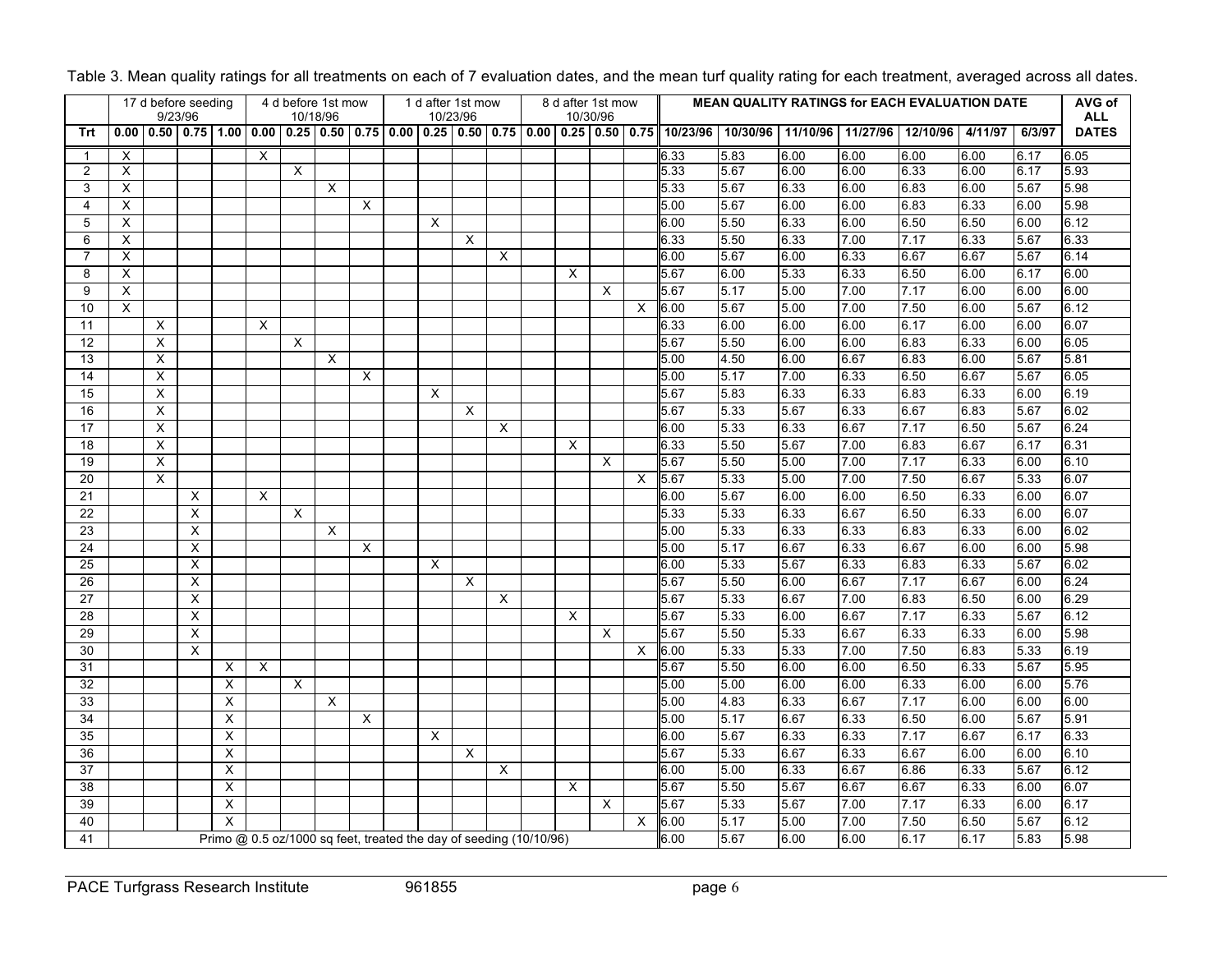|                |          |                | 17 d before seeding<br>9/23/96 |   |          |   | 4 d before 1st mow<br>10/18/96 |   |                                                                    |             | 1 d after 1st mow<br>10/23/96 |          |      | 8 d after 1st mow | 10/30/96 |          |          | <b>MEAN QUALITY RATINGS for EACH EVALUATION DATE</b> |          |          |          |         |        | AVG of<br><b>ALL</b> |
|----------------|----------|----------------|--------------------------------|---|----------|---|--------------------------------|---|--------------------------------------------------------------------|-------------|-------------------------------|----------|------|-------------------|----------|----------|----------|------------------------------------------------------|----------|----------|----------|---------|--------|----------------------|
| Trt            | 0.00     | 0.50           | $0.75$ 1.00                    |   | 0.00     |   | $0.25 \, 0.50$                 |   | $0.75$   $0.00$                                                    | $0.25$ 0.50 |                               | 0.75     | 0.00 | $0.25$ 0.50 0.75  |          |          | 10/23/96 | 10/30/96                                             | 11/10/96 | 11/27/96 | 12/10/96 | 4/11/97 | 6/3/97 | <b>DATES</b>         |
| $\mathbf 1$    | $\times$ |                |                                |   | $\times$ |   |                                |   |                                                                    |             |                               |          |      |                   |          |          | 6.33     | 5.83                                                 | 6.00     | 6.00     | 6.00     | 6.00    | 6.17   | 6.05                 |
| $\overline{2}$ | X        |                |                                |   |          | X |                                |   |                                                                    |             |                               |          |      |                   |          |          | 5.33     | 5.67                                                 | 6.00     | 6.00     | 6.33     | 6.00    | 6.17   | 5.93                 |
| 3              | X        |                |                                |   |          |   | X                              |   |                                                                    |             |                               |          |      |                   |          |          | 5.33     | 5.67                                                 | 6.33     | 6.00     | 6.83     | 6.00    | 5.67   | 5.98                 |
| 4              | X        |                |                                |   |          |   |                                | X |                                                                    |             |                               |          |      |                   |          |          | 5.00     | 5.67                                                 | 6.00     | 6.00     | 6.83     | 6.33    | 6.00   | 5.98                 |
| 5              | X        |                |                                |   |          |   |                                |   |                                                                    | X           |                               |          |      |                   |          |          | 6.00     | 5.50                                                 | 6.33     | 6.00     | 6.50     | 6.50    | 6.00   | 6.12                 |
| 6              | X        |                |                                |   |          |   |                                |   |                                                                    |             | X                             |          |      |                   |          |          | 6.33     | 5.50                                                 | 6.33     | 7.00     | 7.17     | 6.33    | 5.67   | 6.33                 |
| 7              | X        |                |                                |   |          |   |                                |   |                                                                    |             |                               | X        |      |                   |          |          | 6.00     | 5.67                                                 | 6.00     | 6.33     | 6.67     | 6.67    | 5.67   | 6.14                 |
| 8              | X        |                |                                |   |          |   |                                |   |                                                                    |             |                               |          |      | X                 |          |          | 5.67     | 6.00                                                 | 5.33     | 6.33     | 6.50     | 6.00    | 6.17   | 6.00                 |
| 9              | X        |                |                                |   |          |   |                                |   |                                                                    |             |                               |          |      |                   | X        |          | 5.67     | 5.17                                                 | 5.00     | 7.00     | 7.17     | 6.00    | 6.00   | 6.00                 |
| 10             | X        |                |                                |   |          |   |                                |   |                                                                    |             |                               |          |      |                   |          | $\times$ | 6.00     | 5.67                                                 | 5.00     | 7.00     | 7.50     | 6.00    | 5.67   | 6.12                 |
| 11             |          | X              |                                |   | $\times$ |   |                                |   |                                                                    |             |                               |          |      |                   |          |          | 6.33     | 6.00                                                 | 6.00     | 6.00     | 6.17     | 6.00    | 6.00   | 6.07                 |
| 12             |          | $\pmb{\times}$ |                                |   |          | X |                                |   |                                                                    |             |                               |          |      |                   |          |          | 5.67     | 5.50                                                 | 6.00     | 6.00     | 6.83     | 6.33    | 6.00   | 6.05                 |
| 13             |          | X              |                                |   |          |   | X                              |   |                                                                    |             |                               |          |      |                   |          |          | 5.00     | 4.50                                                 | 6.00     | 6.67     | 6.83     | 6.00    | 5.67   | 5.81                 |
| 14             |          | X              |                                |   |          |   |                                | X |                                                                    |             |                               |          |      |                   |          |          | 5.00     | 5.17                                                 | 7.00     | 6.33     | 6.50     | 6.67    | 5.67   | 6.05                 |
| 15             |          | X              |                                |   |          |   |                                |   |                                                                    | $\times$    |                               |          |      |                   |          |          | 5.67     | 5.83                                                 | 6.33     | 6.33     | 6.83     | 6.33    | 6.00   | 6.19                 |
| 16             |          | X              |                                |   |          |   |                                |   |                                                                    |             | X                             |          |      |                   |          |          | 5.67     | 5.33                                                 | 5.67     | 6.33     | 6.67     | 6.83    | 5.67   | 6.02                 |
| 17             |          | X              |                                |   |          |   |                                |   |                                                                    |             |                               | $\times$ |      |                   |          |          | 6.00     | 5.33                                                 | 6.33     | 6.67     | 7.17     | 6.50    | 5.67   | 6.24                 |
| 18             |          | X              |                                |   |          |   |                                |   |                                                                    |             |                               |          |      | X                 |          |          | 6.33     | 5.50                                                 | 5.67     | 7.00     | 6.83     | 6.67    | 6.17   | 6.31                 |
| 19             |          | X              |                                |   |          |   |                                |   |                                                                    |             |                               |          |      |                   | X        |          | 5.67     | 5.50                                                 | 5.00     | 7.00     | 7.17     | 6.33    | 6.00   | 6.10                 |
| 20             |          | X              |                                |   |          |   |                                |   |                                                                    |             |                               |          |      |                   |          | X        | 5.67     | 5.33                                                 | 5.00     | 7.00     | 7.50     | 6.67    | 5.33   | 6.07                 |
| 21             |          |                | $\times$                       |   | $\times$ |   |                                |   |                                                                    |             |                               |          |      |                   |          |          | 6.00     | 5.67                                                 | 6.00     | 6.00     | 6.50     | 6.33    | 6.00   | 6.07                 |
| 22             |          |                | X                              |   |          | X |                                |   |                                                                    |             |                               |          |      |                   |          |          | 5.33     | 5.33                                                 | 6.33     | 6.67     | 6.50     | 6.33    | 6.00   | 6.07                 |
| 23             |          |                | X                              |   |          |   | $\boldsymbol{\mathsf{X}}$      |   |                                                                    |             |                               |          |      |                   |          |          | 5.00     | 5.33                                                 | 6.33     | 6.33     | 6.83     | 6.33    | 6.00   | 6.02                 |
| 24             |          |                | X                              |   |          |   |                                | X |                                                                    |             |                               |          |      |                   |          |          | 5.00     | 5.17                                                 | 6.67     | 6.33     | 6.67     | 6.00    | 6.00   | 5.98                 |
| 25             |          |                | $\times$                       |   |          |   |                                |   |                                                                    | $\times$    |                               |          |      |                   |          |          | 6.00     | 5.33                                                 | 5.67     | 6.33     | 6.83     | 6.33    | 5.67   | 6.02                 |
| 26             |          |                | X                              |   |          |   |                                |   |                                                                    |             | X                             |          |      |                   |          |          | 5.67     | 5.50                                                 | 6.00     | 6.67     | 7.17     | 6.67    | 6.00   | 6.24                 |
| 27             |          |                | X                              |   |          |   |                                |   |                                                                    |             |                               | X        |      |                   |          |          | 5.67     | 5.33                                                 | 6.67     | 7.00     | 6.83     | 6.50    | 6.00   | 6.29                 |
| 28             |          |                | X                              |   |          |   |                                |   |                                                                    |             |                               |          |      | X                 |          |          | 5.67     | 5.33                                                 | 6.00     | 6.67     | 7.17     | 6.33    | 5.67   | 6.12                 |
| 29             |          |                | $\times$                       |   |          |   |                                |   |                                                                    |             |                               |          |      |                   | $\times$ |          | 5.67     | 5.50                                                 | 5.33     | 6.67     | 6.33     | 6.33    | 6.00   | 5.98                 |
| 30             |          |                | $\times$                       |   |          |   |                                |   |                                                                    |             |                               |          |      |                   |          | $\times$ | 6.00     | 5.33                                                 | 5.33     | 7.00     | 7.50     | 6.83    | 5.33   | 6.19                 |
| 31             |          |                |                                | Х | $\times$ |   |                                |   |                                                                    |             |                               |          |      |                   |          |          | 5.67     | 5.50                                                 | 6.00     | 6.00     | 6.50     | 6.33    | 5.67   | 5.95                 |
| 32             |          |                |                                | X |          | X |                                |   |                                                                    |             |                               |          |      |                   |          |          | 5.00     | 5.00                                                 | 6.00     | 6.00     | 6.33     | 6.00    | 6.00   | 5.76                 |
| 33             |          |                |                                | X |          |   | X                              |   |                                                                    |             |                               |          |      |                   |          |          | 5.00     | 4.83                                                 | 6.33     | 6.67     | 7.17     | 6.00    | 6.00   | 6.00                 |
| 34             |          |                |                                | X |          |   |                                | X |                                                                    |             |                               |          |      |                   |          |          | 5.00     | 5.17                                                 | 6.67     | 6.33     | 6.50     | 6.00    | 5.67   | 5.91                 |
| 35             |          |                |                                | X |          |   |                                |   |                                                                    | $\times$    |                               |          |      |                   |          |          | 6.00     | 5.67                                                 | 6.33     | 6.33     | 7.17     | 6.67    | 6.17   | 6.33                 |
| 36             |          |                |                                | X |          |   |                                |   |                                                                    |             | X                             |          |      |                   |          |          | 5.67     | 5.33                                                 | 6.67     | 6.33     | 6.67     | 6.00    | 6.00   | 6.10                 |
| 37             |          |                |                                | X |          |   |                                |   |                                                                    |             |                               | X        |      |                   |          |          | 6.00     | 5.00                                                 | 6.33     | 6.67     | 6.86     | 6.33    | 5.67   | 6.12                 |
| 38             |          |                |                                | X |          |   |                                |   |                                                                    |             |                               |          |      | $\times$          |          |          | 5.67     | 5.50                                                 | 5.67     | 6.67     | 6.67     | 6.33    | 6.00   | 6.07                 |
| 39             |          |                |                                | X |          |   |                                |   |                                                                    |             |                               |          |      |                   | X        |          | 5.67     | 5.33                                                 | 5.67     | 7.00     | 7.17     | 6.33    | 6.00   | 6.17                 |
| 40             |          |                |                                | X |          |   |                                |   |                                                                    |             |                               |          |      |                   |          | X        | 6.00     | 5.17                                                 | 5.00     | 7.00     | 7.50     | 6.50    | 5.67   | 6.12                 |
| 41             |          |                |                                |   |          |   |                                |   | Primo @ 0.5 oz/1000 sq feet, treated the day of seeding (10/10/96) |             |                               |          |      |                   |          |          | 6.00     | 5.67                                                 | 6.00     | 6.00     | 6.17     | 6.17    | 5.83   | 5.98                 |

|  | Table 3. Mean quality ratings for all treatments on each of 7 evaluation dates, and the mean turf quality rating for each treatment, averaged across all dates. |  |  |
|--|-----------------------------------------------------------------------------------------------------------------------------------------------------------------|--|--|
|  |                                                                                                                                                                 |  |  |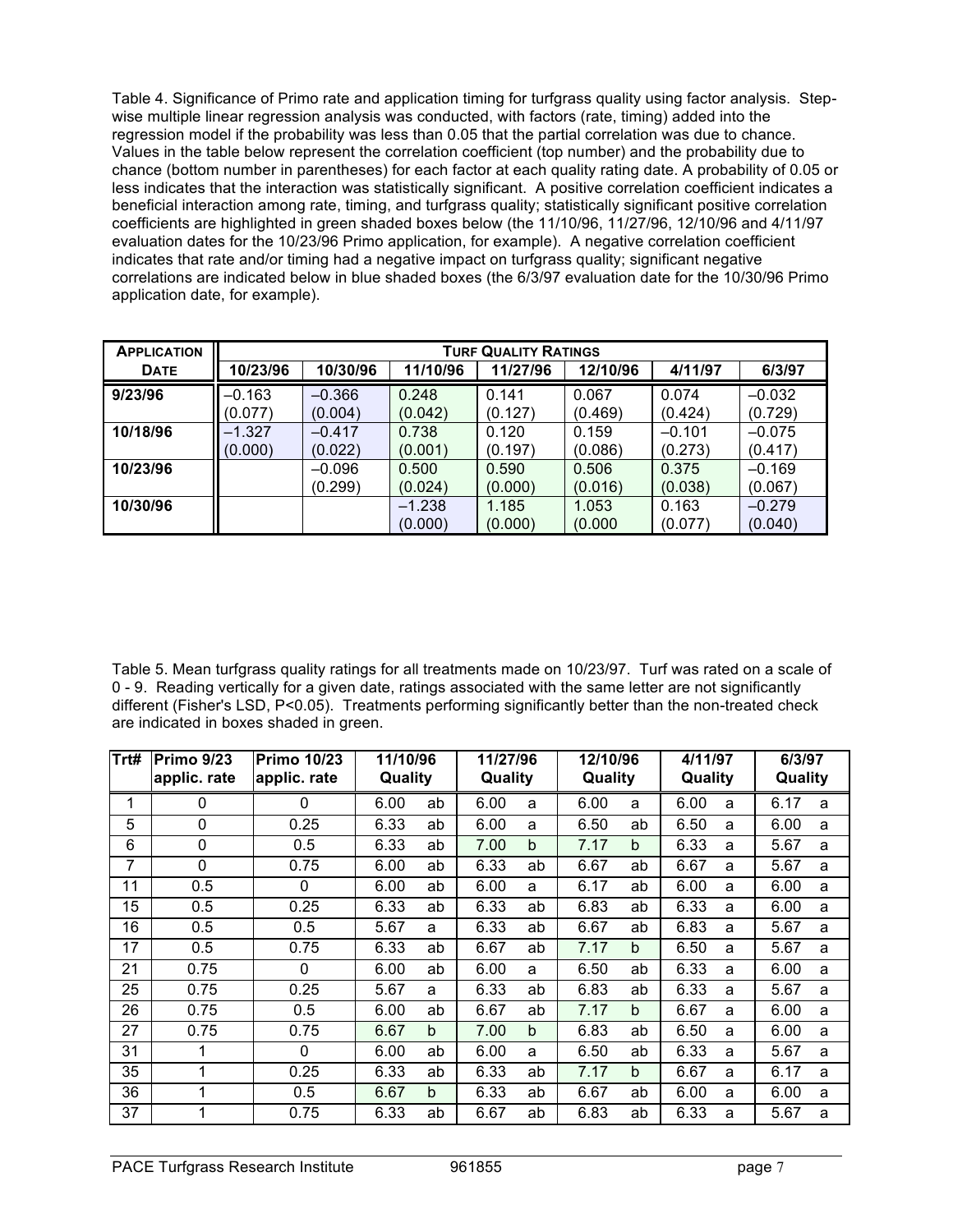Table 4. Significance of Primo rate and application timing for turfgrass quality using factor analysis. Stepwise multiple linear regression analysis was conducted, with factors (rate, timing) added into the regression model if the probability was less than 0.05 that the partial correlation was due to chance. Values in the table below represent the correlation coefficient (top number) and the probability due to chance (bottom number in parentheses) for each factor at each quality rating date. A probability of 0.05 or less indicates that the interaction was statistically significant. A positive correlation coefficient indicates a beneficial interaction among rate, timing, and turfgrass quality; statistically significant positive correlation coefficients are highlighted in green shaded boxes below (the 11/10/96, 11/27/96, 12/10/96 and 4/11/97 evaluation dates for the 10/23/96 Primo application, for example). A negative correlation coefficient indicates that rate and/or timing had a negative impact on turfgrass quality; significant negative correlations are indicated below in blue shaded boxes (the 6/3/97 evaluation date for the 10/30/96 Primo application date, for example).

| <b>APPLICATION</b> | <b>TURF QUALITY RATINGS</b> |                     |                     |                  |                  |                     |                     |  |  |  |
|--------------------|-----------------------------|---------------------|---------------------|------------------|------------------|---------------------|---------------------|--|--|--|
| <b>DATE</b>        | 10/23/96                    | 10/30/96            | 11/10/96            | 11/27/96         | 12/10/96         | 4/11/97             | 6/3/97              |  |  |  |
| 9/23/96            | $-0.163$<br>(0.077)         | $-0.366$<br>(0.004) | 0.248<br>(0.042)    | 0.141<br>(0.127) | 0.067<br>(0.469) | 0.074<br>(0.424)    | $-0.032$<br>(0.729) |  |  |  |
| 10/18/96           | $-1.327$<br>(0.000)         | $-0.417$<br>(0.022) | 0.738<br>(0.001)    | 0.120<br>(0.197) | 0.159<br>(0.086) | $-0.101$<br>(0.273) | $-0.075$<br>(0.417) |  |  |  |
| 10/23/96           |                             | $-0.096$<br>(0.299) | 0.500<br>(0.024)    | 0.590<br>(0.000) | 0.506<br>(0.016) | 0.375<br>(0.038)    | $-0.169$<br>(0.067) |  |  |  |
| 10/30/96           |                             |                     | $-1.238$<br>(0.000) | 1.185<br>(0.000) | 1.053<br>(0.000) | 0.163<br>(0.077)    | $-0.279$<br>(0.040) |  |  |  |

Table 5. Mean turfgrass quality ratings for all treatments made on 10/23/97. Turf was rated on a scale of 0 - 9. Reading vertically for a given date, ratings associated with the same letter are not significantly different (Fisher's LSD, P<0.05). Treatments performing significantly better than the non-treated check are indicated in boxes shaded in green.

| Trt# | <b>Primo 9/23</b><br>applic. rate | <b>Primo 10/23</b><br>applic. rate | 11/10/96<br>Quality |             | 11/27/96<br>Quality |             | 12/10/96<br>Quality |              | 4/11/97<br>Quality |   | 6/3/97<br>Quality |   |
|------|-----------------------------------|------------------------------------|---------------------|-------------|---------------------|-------------|---------------------|--------------|--------------------|---|-------------------|---|
| 1    | 0                                 | 0                                  | 6.00                | ab          | 6.00                | a           | 6.00                | a            | 6.00               | a | 6.17              | a |
| 5    | 0                                 | 0.25                               | 6.33                | ab          | 6.00                | a           | 6.50                | ab           | 6.50               | a | 6.00              | a |
| 6    | 0                                 | 0.5                                | 6.33                | ab          | 7.00                | $\mathbf b$ | 7.17                | b            | 6.33               | a | 5.67              | a |
| 7    | 0                                 | 0.75                               | 6.00                | ab          | 6.33                | ab          | 6.67                | ab           | 6.67               | a | 5.67              | a |
| 11   | 0.5                               | 0                                  | 6.00                | ab          | 6.00                | a           | 6.17                | ab           | 6.00               | a | 6.00              | a |
| 15   | 0.5                               | 0.25                               | 6.33                | ab          | 6.33                | ab          | 6.83                | ab           | 6.33               | a | 6.00              | a |
| 16   | 0.5                               | 0.5                                | 5.67                | a           | 6.33                | ab          | 6.67                | ab           | 6.83               | a | 5.67              | a |
| 17   | 0.5                               | 0.75                               | 6.33                | ab          | 6.67                | ab          | 7.17                | $\mathsf{h}$ | 6.50               | a | 5.67              | a |
| 21   | 0.75                              | 0                                  | 6.00                | ab          | 6.00                | a           | 6.50                | ab           | 6.33               | a | 6.00              | a |
| 25   | 0.75                              | 0.25                               | 5.67                | a           | 6.33                | ab          | 6.83                | ab           | 6.33               | a | 5.67              | a |
| 26   | 0.75                              | 0.5                                | 6.00                | ab          | 6.67                | ab          | 7.17                | $\mathsf{b}$ | 6.67               | a | 6.00              | a |
| 27   | 0.75                              | 0.75                               | 6.67                | $\mathbf b$ | 7.00                | $\mathbf b$ | 6.83                | ab           | 6.50               | a | 6.00              | a |
| 31   | 1                                 | $\Omega$                           | 6.00                | ab          | 6.00                | a           | 6.50                | ab           | 6.33               | a | 5.67              | a |
| 35   | 1                                 | 0.25                               | 6.33                | ab          | 6.33                | ab          | 7.17                | $\mathsf{b}$ | 6.67               | a | 6.17              | a |
| 36   | 1                                 | 0.5                                | 6.67                | $\mathbf b$ | 6.33                | ab          | 6.67                | ab           | 6.00               | a | 6.00              | a |
| 37   | 4                                 | 0.75                               | 6.33                | ab          | 6.67                | ab          | 6.83                | ab           | 6.33               | a | 5.67              | a |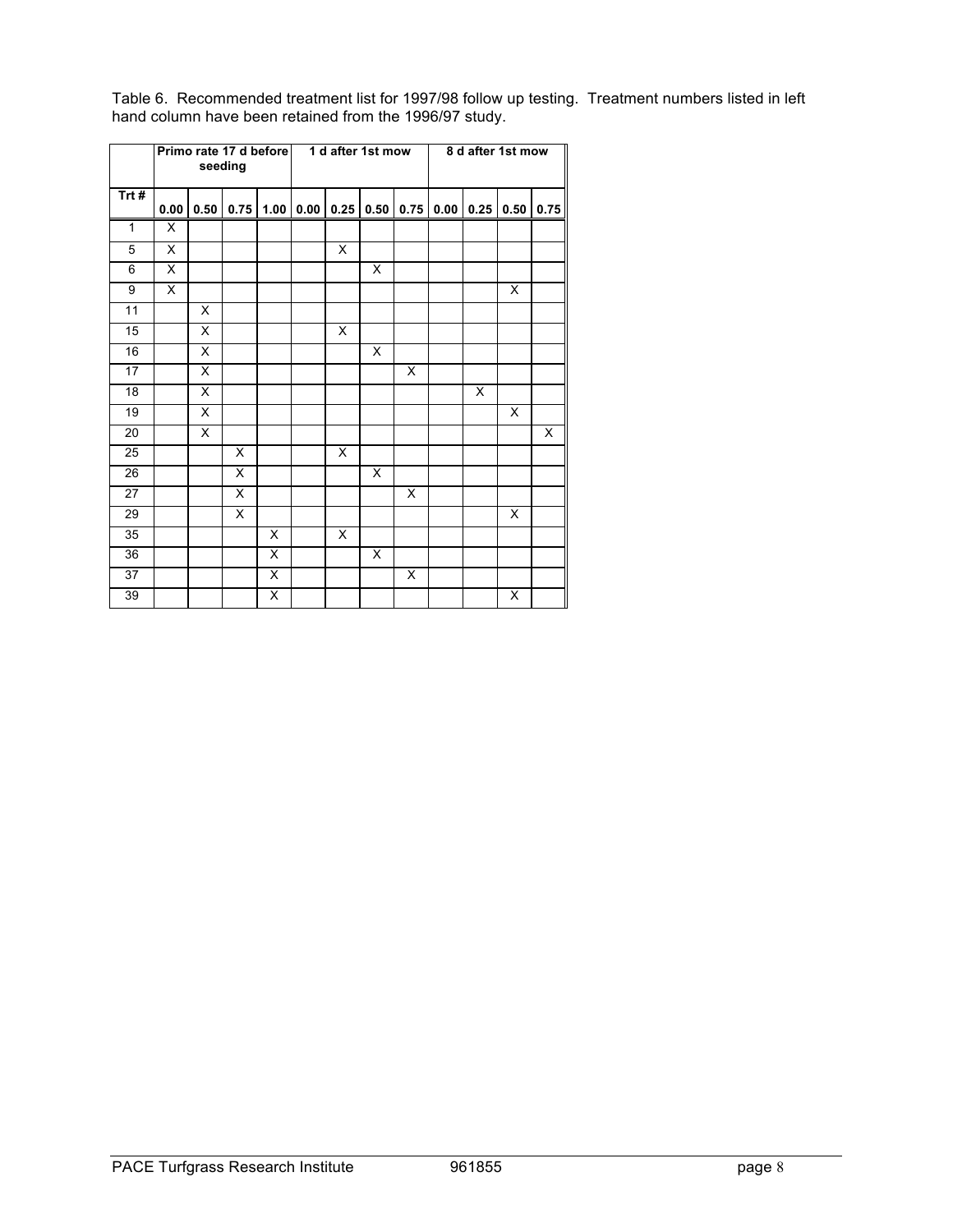|              |      |                         | Primo rate 17 d before<br>seeding |      |      | 1 d after 1st mow |      |      | 8 d after 1st mow |      |      |                         |
|--------------|------|-------------------------|-----------------------------------|------|------|-------------------|------|------|-------------------|------|------|-------------------------|
| Trt#         | 0.00 | 0.50                    | 0.75                              | 1.00 | 0.00 | 0.25              | 0.50 | 0.75 | 0.00              | 0.25 | 0.50 | 0.75                    |
| $\mathbf{1}$ | X    |                         |                                   |      |      |                   |      |      |                   |      |      |                         |
| 5            | X    |                         |                                   |      |      | X                 |      |      |                   |      |      |                         |
| 6            | X    |                         |                                   |      |      |                   | X    |      |                   |      |      |                         |
| 9            | X    |                         |                                   |      |      |                   |      |      |                   |      | X    |                         |
| 11           |      | X                       |                                   |      |      |                   |      |      |                   |      |      |                         |
| 15           |      | X                       |                                   |      |      | X                 |      |      |                   |      |      |                         |
| 16           |      | X                       |                                   |      |      |                   | X    |      |                   |      |      |                         |
| 17           |      | X                       |                                   |      |      |                   |      | X    |                   |      |      |                         |
| 18           |      | X                       |                                   |      |      |                   |      |      |                   | X    |      |                         |
| 19           |      | X                       |                                   |      |      |                   |      |      |                   |      | X    |                         |
| 20           |      | $\overline{\mathsf{x}}$ |                                   |      |      |                   |      |      |                   |      |      | $\overline{\mathsf{x}}$ |
| 25           |      |                         | X                                 |      |      | X.                |      |      |                   |      |      |                         |
| 26           |      |                         | X                                 |      |      |                   | X    |      |                   |      |      |                         |
| 27           |      |                         | $\overline{\mathsf{x}}$           |      |      |                   |      | X    |                   |      |      |                         |
| 29           |      |                         | X                                 |      |      |                   |      |      |                   |      | X    |                         |
| 35           |      |                         |                                   | X    |      | X                 |      |      |                   |      |      |                         |
| 36           |      |                         |                                   | X    |      |                   | X    |      |                   |      |      |                         |
| 37           |      |                         |                                   | X    |      |                   |      | X    |                   |      |      |                         |
| 39           |      |                         |                                   | X    |      |                   |      |      |                   |      | Χ    |                         |

Table 6. Recommended treatment list for 1997/98 follow up testing. Treatment numbers listed in left hand column have been retained from the 1996/97 study.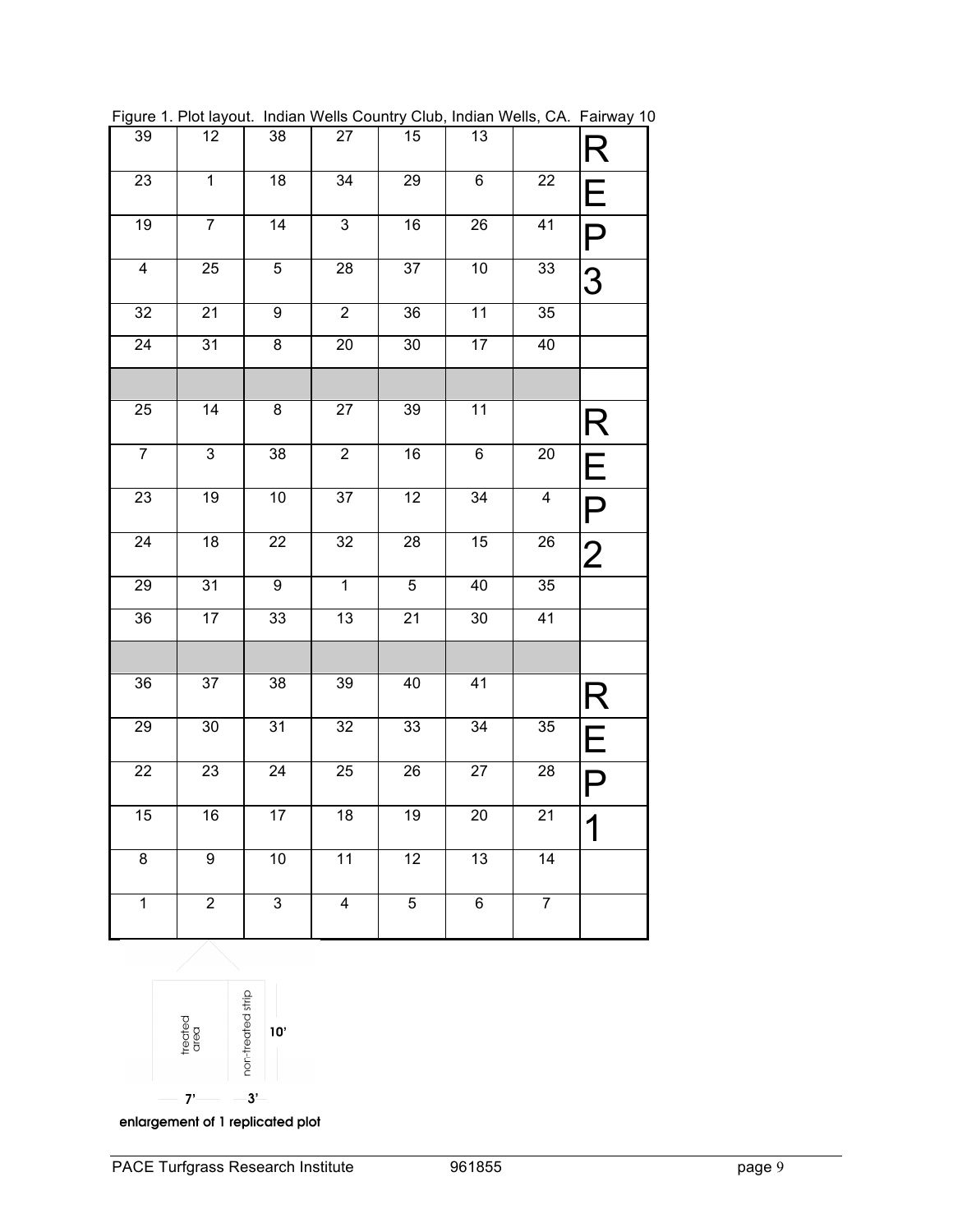| $\overline{39}$         | 12             | 38              | 27                      | $15\,$          | 13              |                         | R                            |
|-------------------------|----------------|-----------------|-------------------------|-----------------|-----------------|-------------------------|------------------------------|
| 23                      | $\mathbf{1}$   | $\overline{18}$ | 34                      | 29              | 6               | 22                      | E                            |
| $\overline{19}$         | $\overline{7}$ | $\overline{14}$ | $\overline{3}$          | 16              | $\overline{26}$ | $\overline{41}$         | P                            |
| $\overline{\mathbf{4}}$ | 25             | 5               | 28                      | 37              | 10              | 33                      | 3                            |
| 32                      | 21             | 9               | $\mathbf 2$             | 36              | 11              | $\overline{35}$         |                              |
| 24                      | 31             | 8               | 20                      | $30\,$          | 17              | 40                      |                              |
|                         |                |                 |                         |                 |                 |                         |                              |
| 25                      | 14             | 8               | 27                      | 39              | 11              |                         | R                            |
| $\overline{7}$          | $\overline{3}$ | 38              | $\mathbf 2$             | 16              | 6               | 20                      | Е                            |
| 23                      | 19             | $10$            | $\overline{37}$         | 12              | $\overline{34}$ | $\overline{\mathbf{4}}$ | P                            |
| $\overline{24}$         | 18             | $\overline{2}2$ | $\overline{32}$         | $\overline{28}$ | 15              | $\overline{26}$         | $\overline{2}$               |
| 29                      | 31             | 9               | $\mathbf{1}$            | $\,$ 5 $\,$     | 40              | 35                      |                              |
| 36                      | 17             | $\overline{3}3$ | 13                      | $\overline{21}$ | 30              | 41                      |                              |
|                         |                |                 |                         |                 |                 |                         |                              |
| $\overline{36}$         | 37             | $\overline{38}$ | 39                      | 40              | 41              |                         | $\mathsf{R}% _{T}$           |
| 29                      | 30             | 31              | 32                      | 33              | 34              | 35                      | E                            |
| 22                      | 23             | $\overline{2}4$ | 25                      | 26              | $\overline{27}$ | 28                      | Ρ                            |
| $\overline{15}$         | 16             | $\overline{17}$ | 18                      | 19              | $\overline{20}$ | $\overline{21}$         | $\overline{\mathbf{A}}$<br>I |
| $\overline{8}$          | $\overline{9}$ | 10              | $\overline{11}$         | $\overline{12}$ | $\overline{13}$ | $\overline{14}$         |                              |
| $\mathbf 1$             | $\overline{c}$ | $\mathfrak{S}$  | $\overline{\mathbf{4}}$ | 5               | 6               | $\overline{7}$          |                              |

Figure 1. Plot layout. Indian Wells Country Club, Indian Wells, CA. Fairway 10



enlargement of 1 replicated plot